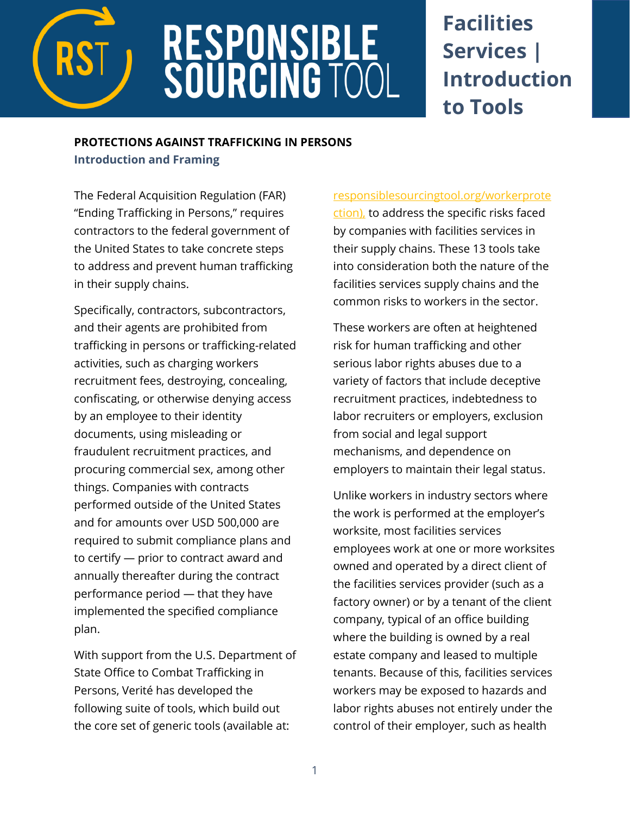

# **RESPONSIBLE<br>SOURCING TOC**

## **Facilities Services | Introduction to Tools**

### **PROTECTIONS AGAINST TRAFFICKING IN PERSONS**

**Introduction and Framing**

The Federal Acquisition Regulation (FAR) "Ending Trafficking in Persons," requires contractors to the federal government of the United States to take concrete steps to address and prevent human trafficking in their supply chains.

Specifically, contractors, subcontractors, and their agents are prohibited from trafficking in persons or trafficking-related activities, such as charging workers recruitment fees, destroying, concealing, confiscating, or otherwise denying access by an employee to their identity documents, using misleading or fraudulent recruitment practices, and procuring commercial sex, among other things. Companies with contracts performed outside of the United States and for amounts over USD 500,000 are required to submit compliance plans and to certify — prior to contract award and annually thereafter during the contract performance period — that they have implemented the specified compliance plan.

With support from the U.S. Department of State Office to Combat Trafficking in Persons, Verité has developed the following suite of tools, which build out the core set of generic tools (available at:

[responsiblesourcingtool.org/workerprote](https://www.responsiblesourcingtool.org/workerprotection) [ction\),](https://www.responsiblesourcingtool.org/workerprotection) to address the specific risks faced by companies with facilities services in their supply chains. These 13 tools take into consideration both the nature of the facilities services supply chains and the common risks to workers in the sector.

These workers are often at heightened risk for human trafficking and other serious labor rights abuses due to a variety of factors that include deceptive recruitment practices, indebtedness to labor recruiters or employers, exclusion from social and legal support mechanisms, and dependence on employers to maintain their legal status.

Unlike workers in industry sectors where the work is performed at the employer's worksite, most facilities services employees work at one or more worksites owned and operated by a direct client of the facilities services provider (such as a factory owner) or by a tenant of the client company, typical of an office building where the building is owned by a real estate company and leased to multiple tenants. Because of this, facilities services workers may be exposed to hazards and labor rights abuses not entirely under the control of their employer, such as health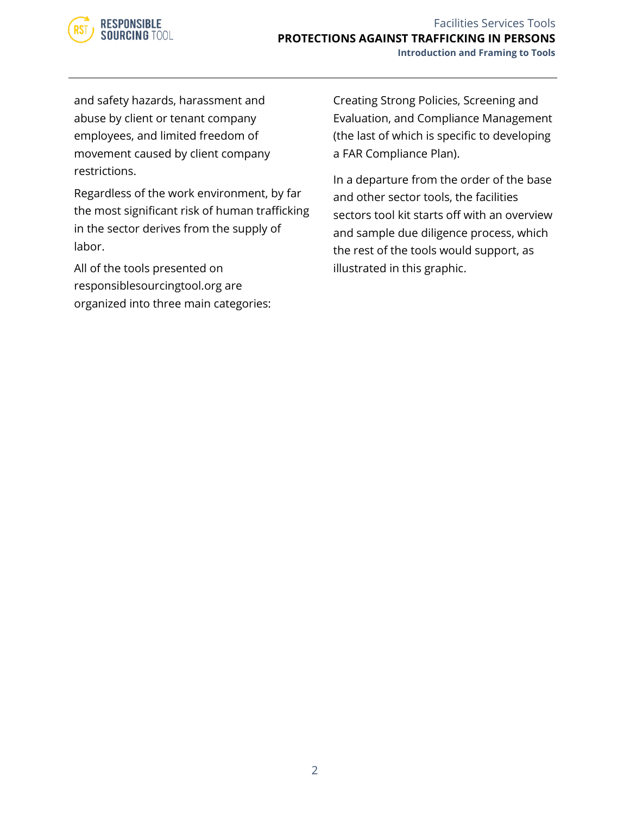

#### Facilities Services Tools **PROTECTIONS AGAINST TRAFFICKING IN PERSONS Introduction and Framing to Tools**

and safety hazards, harassment and abuse by client or tenant company employees, and limited freedom of movement caused by client company restrictions.

Regardless of the work environment, by far the most significant risk of human trafficking in the sector derives from the supply of labor.

All of the tools presented on responsiblesourcingtool.org are organized into three main categories: Creating Strong Policies, Screening and Evaluation, and Compliance Management (the last of which is specific to developing a FAR Compliance Plan).

In a departure from the order of the base and other sector tools, the facilities sectors tool kit starts off with an overview and sample due diligence process, which the rest of the tools would support, as illustrated in this graphic.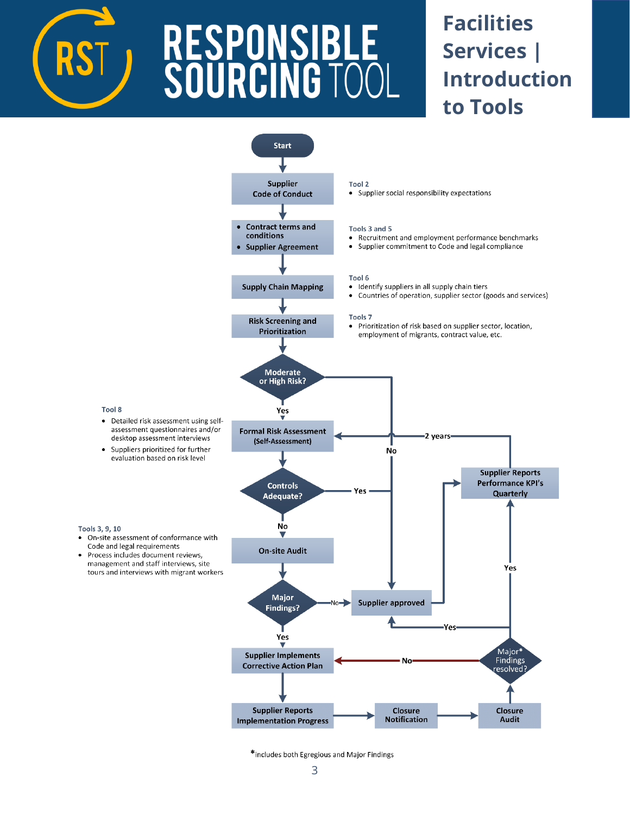

# **RESPONSIBI<br>SOURCING T(**

## **Facilities Services | Introduction to Tools**



\*includes both Egregious and Major Findings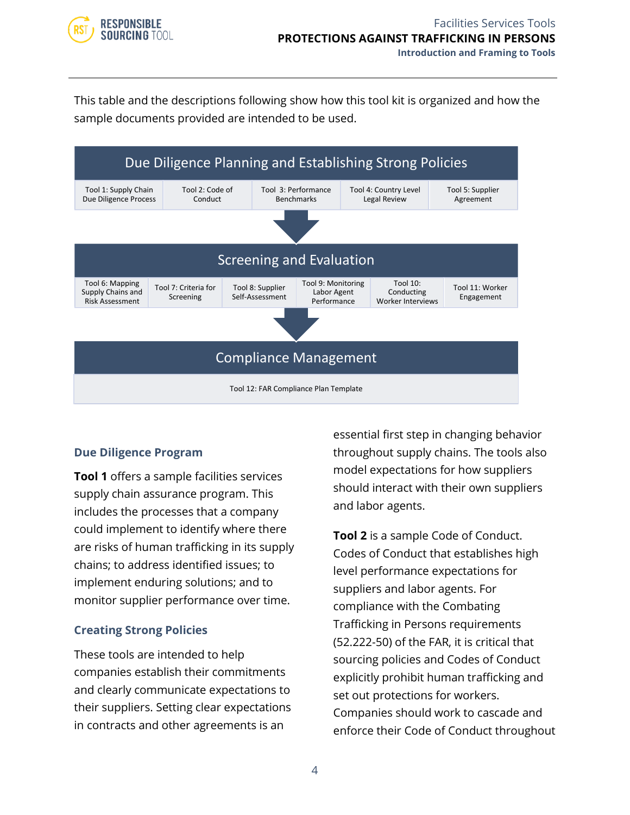

This table and the descriptions following show how this tool kit is organized and how the sample documents provided are intended to be used.



### **Due Diligence Program**

**Tool 1** offers a sample facilities services supply chain assurance program. This includes the processes that a company could implement to identify where there are risks of human trafficking in its supply chains; to address identified issues; to implement enduring solutions; and to monitor supplier performance over time.

#### **Creating Strong Policies**

These tools are intended to help companies establish their commitments and clearly communicate expectations to their suppliers. Setting clear expectations in contracts and other agreements is an

essential first step in changing behavior throughout supply chains. The tools also model expectations for how suppliers should interact with their own suppliers and labor agents.

**Tool 2** is a sample Code of Conduct. Codes of Conduct that establishes high level performance expectations for suppliers and labor agents. For compliance with the Combating Trafficking in Persons requirements (52.222-50) of the FAR, it is critical that sourcing policies and Codes of Conduct explicitly prohibit human trafficking and set out protections for workers. Companies should work to cascade and enforce their Code of Conduct throughout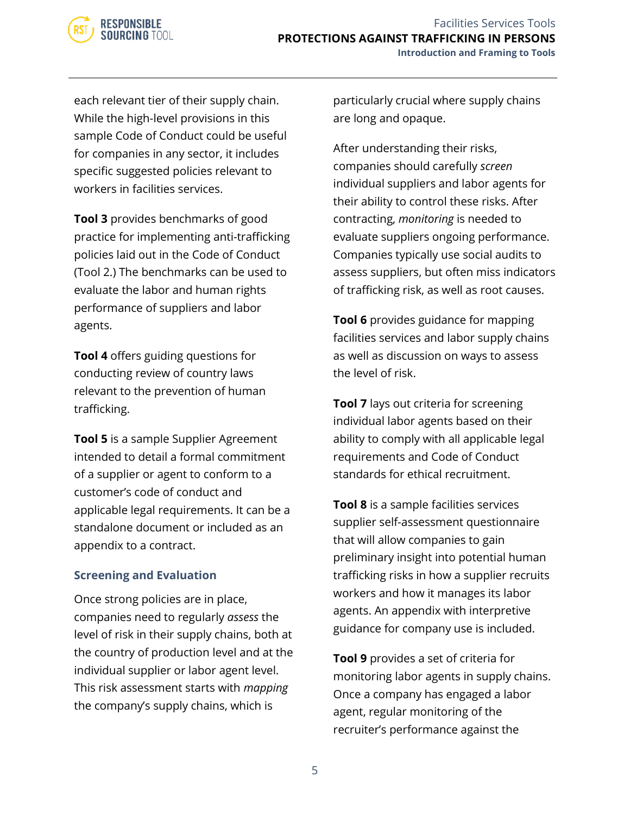

each relevant tier of their supply chain. While the high-level provisions in this sample Code of Conduct could be useful for companies in any sector, it includes specific suggested policies relevant to workers in facilities services.

**Tool 3** provides benchmarks of good practice for implementing anti-trafficking policies laid out in the Code of Conduct (Tool 2.) The benchmarks can be used to evaluate the labor and human rights performance of suppliers and labor agents.

**Tool 4** offers guiding questions for conducting review of country laws relevant to the prevention of human trafficking.

**Tool 5** is a sample Supplier Agreement intended to detail a formal commitment of a supplier or agent to conform to a customer's code of conduct and applicable legal requirements. It can be a standalone document or included as an appendix to a contract.

#### **Screening and Evaluation**

Once strong policies are in place, companies need to regularly *assess* the level of risk in their supply chains, both at the country of production level and at the individual supplier or labor agent level. This risk assessment starts with *mapping*  the company's supply chains, which is

particularly crucial where supply chains are long and opaque.

After understanding their risks, companies should carefully *screen* individual suppliers and labor agents for their ability to control these risks. After contracting, *monitoring* is needed to evaluate suppliers ongoing performance. Companies typically use social audits to assess suppliers, but often miss indicators of trafficking risk, as well as root causes.

**Tool 6** provides guidance for mapping facilities services and labor supply chains as well as discussion on ways to assess the level of risk.

**Tool 7** lays out criteria for screening individual labor agents based on their ability to comply with all applicable legal requirements and Code of Conduct standards for ethical recruitment.

**Tool 8** is a sample facilities services supplier self-assessment questionnaire that will allow companies to gain preliminary insight into potential human trafficking risks in how a supplier recruits workers and how it manages its labor agents. An appendix with interpretive guidance for company use is included.

**Tool 9** provides a set of criteria for monitoring labor agents in supply chains. Once a company has engaged a labor agent, regular monitoring of the recruiter's performance against the